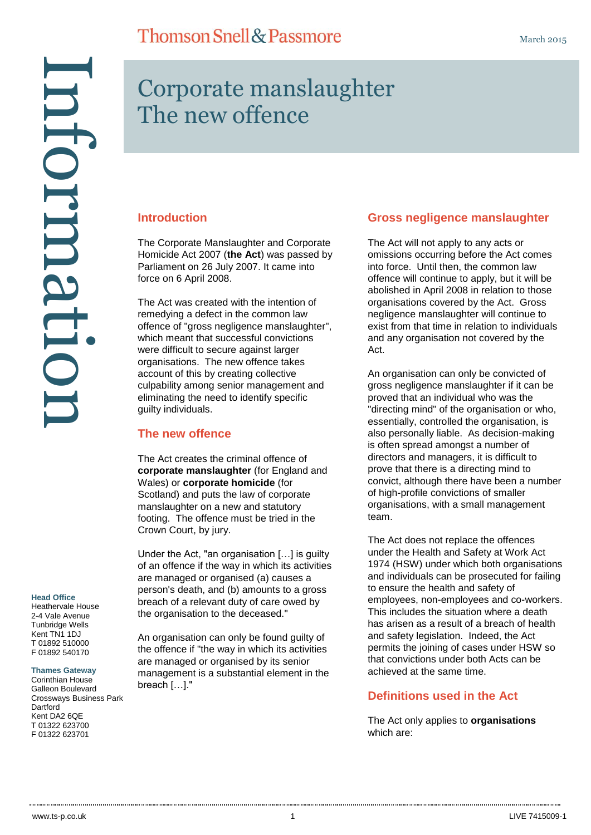# Corporate manslaughter The new offence

#### **Introduction**

The Corporate Manslaughter and Corporate Homicide Act 2007 (**the Act**) was passed by Parliament on 26 July 2007. It came into force on 6 April 2008.

The Act was created with the intention of remedying a defect in the common law offence of "gross negligence manslaughter". which meant that successful convictions were difficult to secure against larger organisations. The new offence takes account of this by creating collective culpability among senior management and eliminating the need to identify specific guilty individuals.

#### **The new offence**

The Act creates the criminal offence of **corporate manslaughter** (for England and Wales) or **corporate homicide** (for Scotland) and puts the law of corporate manslaughter on a new and statutory footing. The offence must be tried in the Crown Court, by jury.

Under the Act, "an organisation […] is guilty of an offence if the way in which its activities are managed or organised (a) causes a person's death, and (b) amounts to a gross breach of a relevant duty of care owed by the organisation to the deceased."

An organisation can only be found guilty of the offence if "the way in which its activities are managed or organised by its senior management is a substantial element in the breach […]."

### **Gross negligence manslaughter**

The Act will not apply to any acts or omissions occurring before the Act comes into force. Until then, the common law offence will continue to apply, but it will be abolished in April 2008 in relation to those organisations covered by the Act. Gross negligence manslaughter will continue to exist from that time in relation to individuals and any organisation not covered by the Act.

An organisation can only be convicted of gross negligence manslaughter if it can be proved that an individual who was the "directing mind" of the organisation or who, essentially, controlled the organisation, is also personally liable. As decision-making is often spread amongst a number of directors and managers, it is difficult to prove that there is a directing mind to convict, although there have been a number of high-profile convictions of smaller organisations, with a small management team.

The Act does not replace the offences under the Health and Safety at Work Act 1974 (HSW) under which both organisations and individuals can be prosecuted for failing to ensure the health and safety of employees, non-employees and co-workers. This includes the situation where a death has arisen as a result of a breach of health and safety legislation. Indeed, the Act permits the joining of cases under HSW so that convictions under both Acts can be achieved at the same time.

### **Definitions used in the Act**

The Act only applies to **organisations** which are:

#### **Head Office**

Heathervale House 2-4 Vale Avenue Tunbridge Wells Kent TN1 1DJ T 01892 510000 F 01892 540170

Information

ntormati

#### **Thames Gateway**

Corinthian House Galleon Boulevard Crossways Business Park **Dartford** Kent DA2 6QE T 01322 623700 F 01322 623701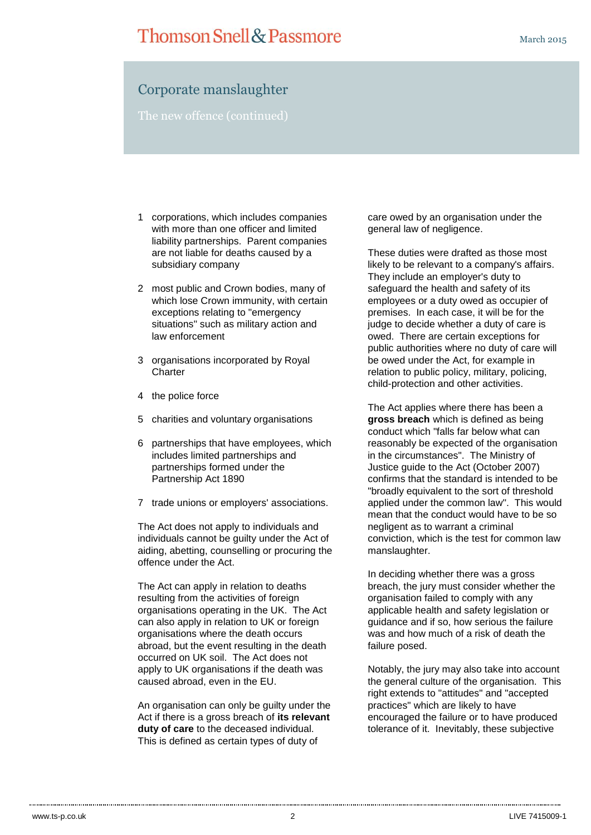## Corporate manslaughter

The new offence (continued)

- 1 corporations, which includes companies with more than one officer and limited liability partnerships. Parent companies are not liable for deaths caused by a subsidiary company
- 2 most public and Crown bodies, many of which lose Crown immunity, with certain exceptions relating to "emergency situations" such as military action and law enforcement
- 3 organisations incorporated by Royal **Charter**
- 4 the police force
- 5 charities and voluntary organisations
- 6 partnerships that have employees, which includes limited partnerships and partnerships formed under the Partnership Act 1890
- 7 trade unions or employers' associations.

The Act does not apply to individuals and individuals cannot be guilty under the Act of aiding, abetting, counselling or procuring the offence under the Act.

The Act can apply in relation to deaths resulting from the activities of foreign organisations operating in the UK. The Act can also apply in relation to UK or foreign organisations where the death occurs abroad, but the event resulting in the death occurred on UK soil. The Act does not apply to UK organisations if the death was caused abroad, even in the EU.

An organisation can only be guilty under the Act if there is a gross breach of **its relevant duty of care** to the deceased individual. This is defined as certain types of duty of

care owed by an organisation under the general law of negligence.

These duties were drafted as those most likely to be relevant to a company's affairs. They include an employer's duty to safeguard the health and safety of its employees or a duty owed as occupier of premises. In each case, it will be for the judge to decide whether a duty of care is owed. There are certain exceptions for public authorities where no duty of care will be owed under the Act, for example in relation to public policy, military, policing, child-protection and other activities.

The Act applies where there has been a **gross breach** which is defined as being conduct which "falls far below what can reasonably be expected of the organisation in the circumstances". The Ministry of Justice guide to the Act (October 2007) confirms that the standard is intended to be "broadly equivalent to the sort of threshold applied under the common law". This would mean that the conduct would have to be so negligent as to warrant a criminal conviction, which is the test for common law manslaughter.

In deciding whether there was a gross breach, the jury must consider whether the organisation failed to comply with any applicable health and safety legislation or guidance and if so, how serious the failure was and how much of a risk of death the failure posed.

Notably, the jury may also take into account the general culture of the organisation. This right extends to "attitudes" and "accepted practices" which are likely to have encouraged the failure or to have produced tolerance of it. Inevitably, these subjective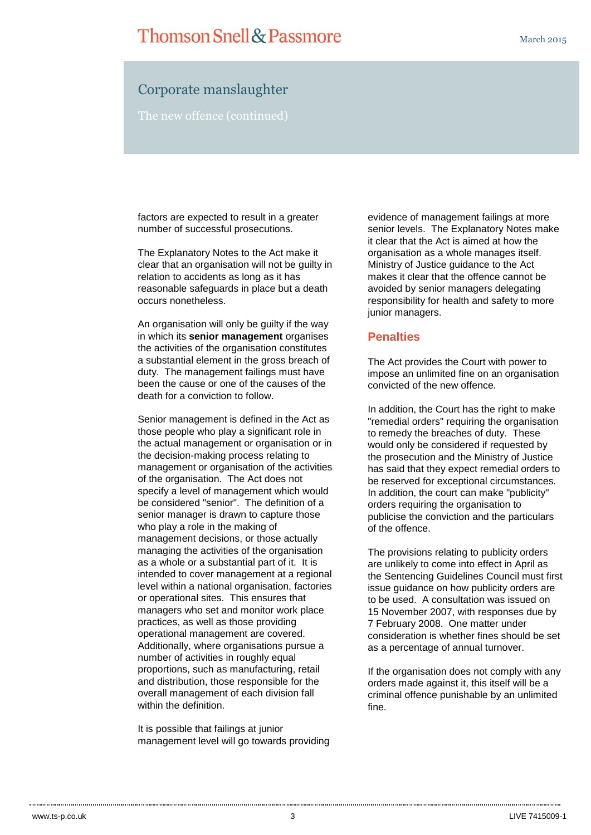## **Thomson Snell & Passmore**

March 2015

## Corporate manslaughter

The new offence (continued)

factors are expected to result in a greater number of successful prosecutions.

The Explanatory Notes to the Act make it clear that an organisation will not be guilty in relation to accidents as long as it has reasonable safeguards in place but a death occurs nonetheless.

An organisation will only be guilty if the way in which its **senior management** organises the activities of the organisation constitutes a substantial element in the gross breach of duty. The management failings must have been the cause or one of the causes of the death for a conviction to follow.

Senior management is defined in the Act as those people who play a significant role in the actual management or organisation or in the decision-making process relating to management or organisation of the activities of the organisation. The Act does not specify a level of management which would be considered "senior". The definition of a senior manager is drawn to capture those who play a role in the making of management decisions, or those actually managing the activities of the organisation as a whole or a substantial part of it. It is intended to cover management at a regional level within a national organisation, factories or operational sites. This ensures that managers who set and monitor work place practices, as well as those providing operational management are covered. Additionally, where organisations pursue a number of activities in roughly equal proportions, such as manufacturing, retail and distribution, those responsible for the overall management of each division fall within the definition.

It is possible that failings at junior management level will go towards providing

evidence of management failings at more senior levels. The Explanatory Notes make it clear that the Act is aimed at how the organisation as a whole manages itself. Ministry of Justice guidance to the Act makes it clear that the offence cannot be avoided by senior managers delegating responsibility for health and safety to more junior managers.

#### **Penalties**

The Act provides the Court with power to impose an unlimited fine on an organisation convicted of the new offence.

In addition, the Court has the right to make "remedial orders" requiring the organisation to remedy the breaches of duty. These would only be considered if requested by the prosecution and the Ministry of Justice has said that they expect remedial orders to be reserved for exceptional circumstances. In addition, the court can make "publicity" orders requiring the organisation to publicise the conviction and the particulars of the offence.

The provisions relating to publicity orders are unlikely to come into effect in April as the Sentencing Guidelines Council must first issue guidance on how publicity orders are to be used. A consultation was issued on 15 November 2007, with responses due by 7 February 2008. One matter under consideration is whether fines should be set as a percentage of annual turnover.

If the organisation does not comply with any orders made against it, this itself will be a criminal offence punishable by an unlimited fine.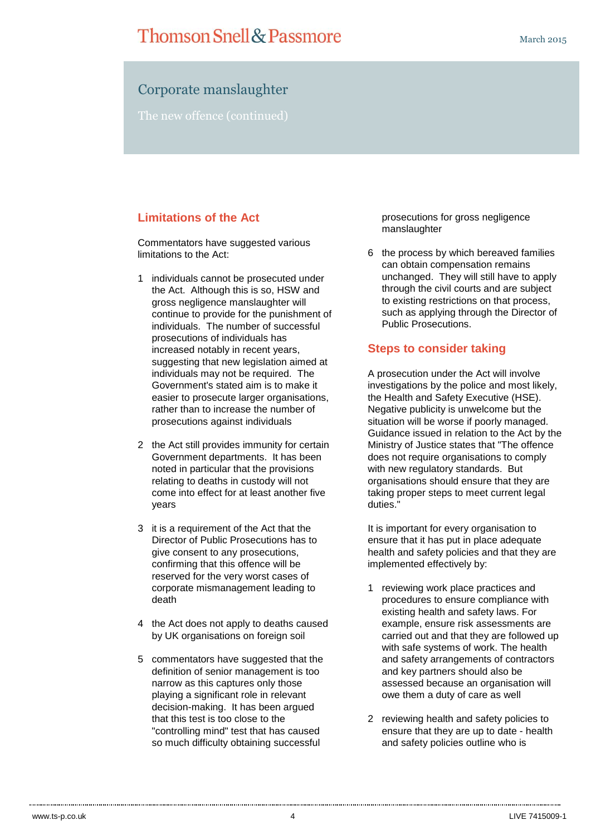## Corporate manslaughter

The new offence (continued)

## **Limitations of the Act**

Commentators have suggested various limitations to the Act:

- 1 individuals cannot be prosecuted under the Act. Although this is so, HSW and gross negligence manslaughter will continue to provide for the punishment of individuals. The number of successful prosecutions of individuals has increased notably in recent years, suggesting that new legislation aimed at individuals may not be required. The Government's stated aim is to make it easier to prosecute larger organisations. rather than to increase the number of prosecutions against individuals
- 2 the Act still provides immunity for certain Government departments. It has been noted in particular that the provisions relating to deaths in custody will not come into effect for at least another five years
- 3 it is a requirement of the Act that the Director of Public Prosecutions has to give consent to any prosecutions, confirming that this offence will be reserved for the very worst cases of corporate mismanagement leading to death
- 4 the Act does not apply to deaths caused by UK organisations on foreign soil
- 5 commentators have suggested that the definition of senior management is too narrow as this captures only those playing a significant role in relevant decision-making. It has been argued that this test is too close to the "controlling mind" test that has caused so much difficulty obtaining successful

prosecutions for gross negligence manslaughter

6 the process by which bereaved families can obtain compensation remains unchanged. They will still have to apply through the civil courts and are subject to existing restrictions on that process, such as applying through the Director of Public Prosecutions.

#### **Steps to consider taking**

A prosecution under the Act will involve investigations by the police and most likely, the Health and Safety Executive (HSE). Negative publicity is unwelcome but the situation will be worse if poorly managed. Guidance issued in relation to the Act by the Ministry of Justice states that "The offence does not require organisations to comply with new regulatory standards. But organisations should ensure that they are taking proper steps to meet current legal duties."

It is important for every organisation to ensure that it has put in place adequate health and safety policies and that they are implemented effectively by:

- 1 reviewing work place practices and procedures to ensure compliance with existing health and safety laws. For example, ensure risk assessments are carried out and that they are followed up with safe systems of work. The health and safety arrangements of contractors and key partners should also be assessed because an organisation will owe them a duty of care as well
- 2 reviewing health and safety policies to ensure that they are up to date - health and safety policies outline who is